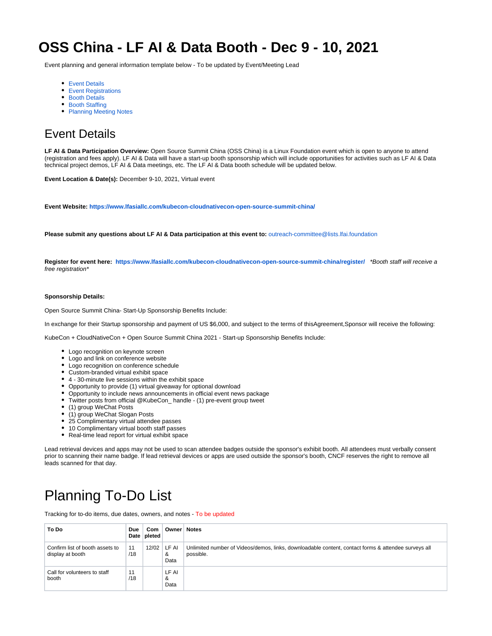# **OSS China - LF AI & Data Booth - Dec 9 - 10, 2021**

Event planning and general information template below - To be updated by Event/Meeting Lead

- [Event Details](#page-0-0)
- **[Event Registrations](#page-1-0)**
- **[Booth Details](#page-1-1)**
- [Booth Staffing](#page-1-2)
- [Planning Meeting Notes](#page-2-0)

## <span id="page-0-0"></span>Event Details

**LF AI & Data Participation Overview:** Open Source Summit China (OSS China) is a Linux Foundation event which is open to anyone to attend (registration and fees apply). LF AI & Data will have a start-up booth sponsorship which will include opportunities for activities such as LF AI & Data technical project demos, LF AI & Data meetings, etc. The LF AI & Data booth schedule will be updated below.

**Event Location & Date(s):** December 9-10, 2021, Virtual event

**Event Website:<https://www.lfasiallc.com/kubecon-cloudnativecon-open-source-summit-china/>**

**Please submit any questions about LF AI & Data participation at this event to:** [outreach-committee@lists.lfai.foundation](mailto:outreach-committee@lists.lfai.foundation)

**Register for event here: <https://www.lfasiallc.com/kubecon-cloudnativecon-open-source-summit-china/register/>** \*Booth staff will receive a free registration\*

#### **Sponsorship Details:**

Open Source Summit China- Start-Up Sponsorship Benefits Include:

In exchange for their Startup sponsorship and payment of US \$6,000, and subject to the terms of thisAgreement,Sponsor will receive the following:

KubeCon + CloudNativeCon + Open Source Summit China 2021 - Start-up Sponsorship Benefits Include:

- Logo recognition on keynote screen
- Logo and link on conference website
- Logo recognition on conference schedule
- Custom-branded virtual exhibit space
- 4 30-minute live sessions within the exhibit space
- Opportunity to provide (1) virtual giveaway for optional download
- Opportunity to include news announcements in official event news package
- Twitter posts from official @KubeCon\_ handle (1) pre-event group tweet
- (1) group WeChat Posts
- (1) group WeChat Slogan Posts
- 25 Complimentary virtual attendee passes
- $\bullet$ 10 Complimentary virtual booth staff passes
- Real-time lead report for virtual exhibit space

Lead retrieval devices and apps may not be used to scan attendee badges outside the sponsor's exhibit booth. All attendees must verbally consent prior to scanning their name badge. If lead retrieval devices or apps are used outside the sponsor's booth, CNCF reserves the right to remove all leads scanned for that day.

# Planning To-Do List

Tracking for to-do items, due dates, owners, and notes - To be updated

| To Do                                               | Due<br>Date | Com<br>pleted | <b>Owner</b>       | <b>Notes</b>                                                                                                     |
|-----------------------------------------------------|-------------|---------------|--------------------|------------------------------------------------------------------------------------------------------------------|
| Confirm list of booth assets to<br>display at booth | 11<br>/18   | 12/02         | LF AI<br>&<br>Data | Unlimited number of Videos/demos, links, downloadable content, contact forms & attendee surveys all<br>possible. |
| Call for volunteers to staff<br>booth               | 11<br>/18   |               | LF AI<br>&<br>Data |                                                                                                                  |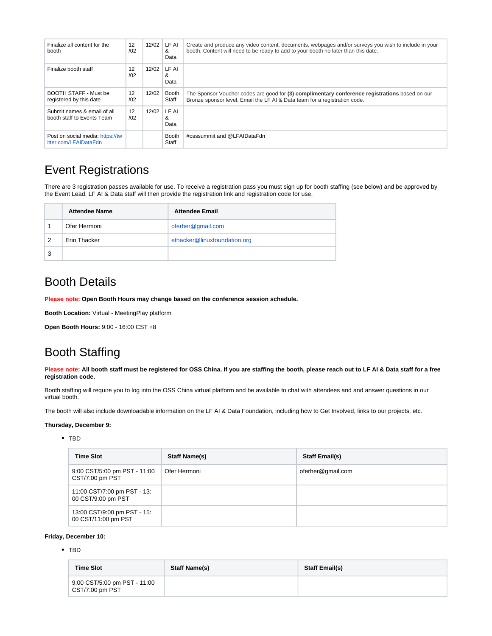| Finalize all content for the<br>booth                     | 12<br>/02 | 12/02 | LF AI<br>&<br>Data | Create and produce any video content, documents, webpages and/or surveys you wish to include in your<br>booth. Content will need to be ready to add to your booth no later than this date. |
|-----------------------------------------------------------|-----------|-------|--------------------|--------------------------------------------------------------------------------------------------------------------------------------------------------------------------------------------|
| Finalize booth staff                                      | 12<br>/02 | 12/02 | LF AI<br>&<br>Data |                                                                                                                                                                                            |
| BOOTH STAFF - Must be<br>registered by this date          | 12<br>/02 | 12/02 | Booth<br>Staff     | The Sponsor Voucher codes are good for (3) complimentary conference registrations based on our<br>Bronze sponsor level. Email the LF AI & Data team for a registration code.               |
| Submit names & email of all<br>booth staff to Events Team | 12<br>/02 | 12/02 | LF AI<br>&<br>Data |                                                                                                                                                                                            |
| Post on social media: https://tw<br>itter.com/LFAIDataFdn |           |       | Booth<br>Staff     | #osssummit and @LFAIDataFdn                                                                                                                                                                |

## <span id="page-1-0"></span>Event Registrations

There are 3 registration passes available for use. To receive a registration pass you must sign up for booth staffing (see below) and be approved by the Event Lead. LF AI & Data staff will then provide the registration link and registration code for use.

|   | <b>Attendee Name</b> | <b>Attendee Email</b>        |
|---|----------------------|------------------------------|
|   | Ofer Hermoni         | oferher@gmail.com            |
| 2 | Erin Thacker         | ethacker@linuxfoundation.org |
| 3 |                      |                              |

### <span id="page-1-1"></span>Booth Details

**Please note: Open Booth Hours may change based on the conference session schedule.** 

**Booth Location:** Virtual - MeetingPlay platform

**Open Booth Hours:** 9:00 - 16:00 CST +8

### <span id="page-1-2"></span>Booth Staffing

**Please note: All booth staff must be registered for OSS China. If you are staffing the booth, please reach out to LF AI & Data staff for a free registration code.** 

Booth staffing will require you to log into the OSS China virtual platform and be available to chat with attendees and and answer questions in our virtual booth.

The booth will also include downloadable information on the LF AI & Data Foundation, including how to Get Involved, links to our projects, etc.

#### **Thursday, December 9:**

#### • TBD

| <b>Time Slot</b>                                   | <b>Staff Name(s)</b> | <b>Staff Email(s)</b> |
|----------------------------------------------------|----------------------|-----------------------|
| 9:00 CST/5:00 pm PST - 11:00<br>CST/7:00 pm PST    | Ofer Hermoni         | oferher@gmail.com     |
| 11:00 CST/7:00 pm PST - 13:<br>00 CST/9:00 pm PST  |                      |                       |
| 13:00 CST/9:00 pm PST - 15:<br>00 CST/11:00 pm PST |                      |                       |

#### **Friday, December 10:**

#### • TBD

| <b>Time Slot</b>                                | <b>Staff Name(s)</b> | <b>Staff Email(s)</b> |
|-------------------------------------------------|----------------------|-----------------------|
| 9:00 CST/5:00 pm PST - 11:00<br>CST/7:00 pm PST |                      |                       |